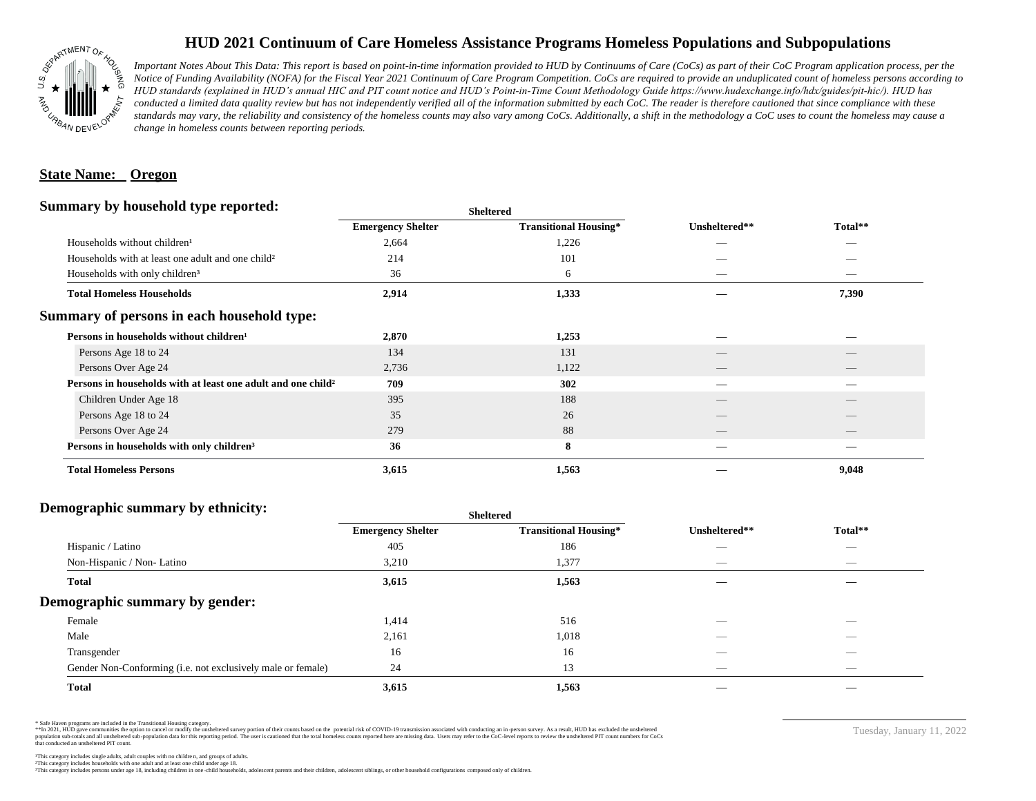

# **HUD 2021 Continuum of Care Homeless Assistance Programs Homeless Populations and Subpopulations**

*Important Notes About This Data: This report is based on point-in-time information provided to HUD by Continuums of Care (CoCs) as part of their CoC Program application process, per the Notice of Funding Availability (NOFA) for the Fiscal Year 2021 Continuum of Care Program Competition. CoCs are required to provide an unduplicated count of homeless persons according to HUD standards (explained in HUD's annual HIC and PIT count notice and HUD's Point-in-Time Count Methodology Guide https://www.hudexchange.info/hdx/guides/pit-hic/). HUD has*  conducted a limited data quality review but has not independently verified all of the information submitted by each CoC. The reader is therefore cautioned that since compliance with these standards may vary, the reliability and consistency of the homeless counts may also vary among CoCs. Additionally, a shift in the methodology a CoC uses to count the homeless may cause a *change in homeless counts between reporting periods.*

### **State Name: Oregon**

#### **Summary by household type reported:**

|                                                                          |                          | patter                       |               |                          |  |
|--------------------------------------------------------------------------|--------------------------|------------------------------|---------------|--------------------------|--|
|                                                                          | <b>Emergency Shelter</b> | <b>Transitional Housing*</b> | Unsheltered** | Total**                  |  |
| Households without children <sup>1</sup>                                 | 2,664                    | 1,226                        | _             |                          |  |
| Households with at least one adult and one child <sup>2</sup>            | 214                      | 101                          |               |                          |  |
| Households with only children <sup>3</sup>                               | 36                       | 6                            | _             | _                        |  |
| <b>Total Homeless Households</b>                                         | 2,914                    | 1,333                        |               | 7,390                    |  |
| Summary of persons in each household type:                               |                          |                              |               |                          |  |
| Persons in households without children <sup>1</sup>                      | 2,870                    | 1,253                        |               |                          |  |
| Persons Age 18 to 24                                                     | 134                      | 131                          |               |                          |  |
| Persons Over Age 24                                                      | 2,736                    | 1,122                        | __            | $\overline{\phantom{a}}$ |  |
| Persons in households with at least one adult and one child <sup>2</sup> | 709                      | 302                          |               |                          |  |
| Children Under Age 18                                                    | 395                      | 188                          |               |                          |  |
| Persons Age 18 to 24                                                     | 35                       | 26                           |               |                          |  |
| Persons Over Age 24                                                      | 279                      | 88                           | __            | $-$                      |  |
| Persons in households with only children <sup>3</sup>                    | 36                       | 8                            |               |                          |  |
| <b>Total Homeless Persons</b>                                            | 3,615                    | 1,563                        |               | 9,048                    |  |
|                                                                          |                          |                              |               |                          |  |

**Sheltered**

## **Demographic summary by ethnicity:**

| $\tilde{}$                                                  | sneuerea                 |                              |                                 |                                |
|-------------------------------------------------------------|--------------------------|------------------------------|---------------------------------|--------------------------------|
|                                                             | <b>Emergency Shelter</b> | <b>Transitional Housing*</b> | Unsheltered**                   | Total**                        |
| Hispanic / Latino                                           | 405                      | 186                          | $\hspace{0.05cm}$               | $\overbrace{\hspace{25mm}}^{}$ |
| Non-Hispanic / Non-Latino                                   | 3,210                    | 1,377                        | $\hspace{0.05cm}$               |                                |
| <b>Total</b>                                                | 3,615                    | 1,563                        |                                 |                                |
| Demographic summary by gender:                              |                          |                              |                                 |                                |
| Female                                                      | 1,414                    | 516                          | $\overline{\phantom{a}}$        | $\overbrace{\hspace{25mm}}^{}$ |
| Male                                                        | 2,161                    | 1,018                        | _                               | $\overline{\phantom{a}}$       |
| Transgender                                                 | 16                       | 16                           | _                               |                                |
| Gender Non-Conforming (i.e. not exclusively male or female) | 24                       | 13                           | $\hspace{0.1mm}-\hspace{0.1mm}$ | $\overbrace{\hspace{25mm}}^{}$ |
| <b>Total</b>                                                | 3,615                    | 1,563                        |                                 |                                |

**Sheltered**

\* Safe Haven programs are included in the Transitional Housing category.

\*\*In 2021, HUD gave communities the option to cancel or modify the unsheltered survey portion of their counts based on the potential risk of COVID-19 transmission associated with conducting an in-person survey. As a result n political data for this reporting period. The user is cautioned that the total homeless counts reported here are missing data. Users may refer to the CoC-level reports to review the unshellered PIT count numbers for CoCs that conducted an unsheltered PIT count.

Tuesday, January 11, 2022